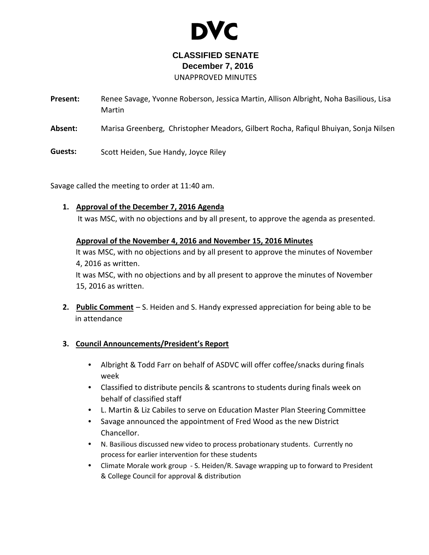

# **CLASSIFIED SENATE December 7, 2016** UNAPPROVED MINUTES

**Present:** Renee Savage, Yvonne Roberson, Jessica Martin, Allison Albright, Noha Basilious, Lisa Martin

**Absent:** Marisa Greenberg, Christopher Meadors, Gilbert Rocha, Rafiqul Bhuiyan, Sonja Nilsen

**Guests:** Scott Heiden, Sue Handy, Joyce Riley

Savage called the meeting to order at 11:40 am.

# 1. Approval of the December 7, 2016 Agenda

It was MSC, with no objections and by all present, to approve the agenda as presented.

# Approval of the November 4, 2016 and November 15, 2016 Minutes

It was MSC, with no objections and by all present to approve the minutes of November 4, 2016 as written.

It was MSC, with no objections and by all present to approve the minutes of November 15, 2016 as written.

**2.** Public Comment – S. Heiden and S. Handy expressed appreciation for being able to be in attendance

# **3. Council Announcements/President's Report**

- Albright & Todd Farr on behalf of ASDVC will offer coffee/snacks during finals week
- Classified to distribute pencils & scantrons to students during finals week on behalf of classified staff
- L. Martin & Liz Cabiles to serve on Education Master Plan Steering Committee
- Savage announced the appointment of Fred Wood as the new District Chancellor.
- N. Basilious discussed new video to process probationary students. Currently no process for earlier intervention for these students
- Climate Morale work group S. Heiden/R. Savage wrapping up to forward to President & College Council for approval & distribution